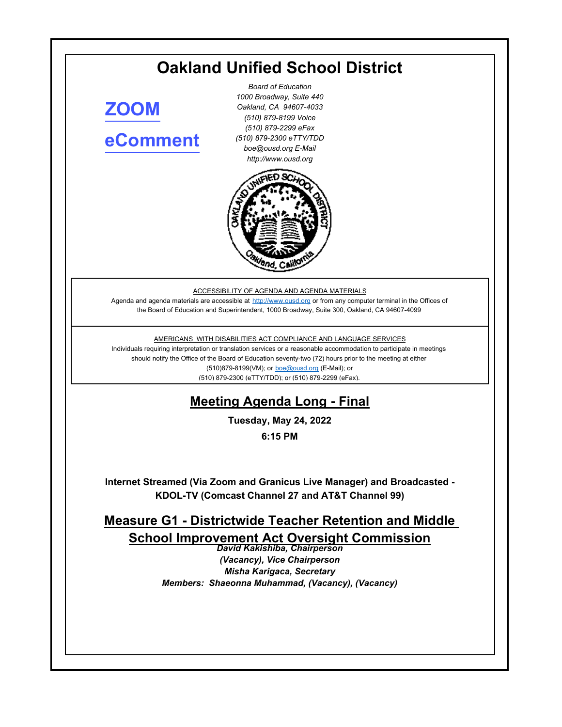# **Oakland Unified School District**

**[ZOOM](https://ousd.zoom.us/j/84989922534) [eComment](https://ousd.granicusideas.com/meetings/2341-measure-g1-districtwide-teacher-retention-and-middle-school-improvement-act-oversight-commission-on-2022-05-24-6-15-pm)**

*Board of Education 1000 Broadway, Suite 440 Oakland, CA 94607-4033 (510) 879-8199 Voice (510) 879-2299 eFax (510) 879-2300 eTTY/TDD boe@ousd.org E-Mail http://www.ousd.org*



ACCESSIBILITY OF AGENDA AND AGENDA MATERIALS

Agenda and agenda materials are accessible at http://www.ousd.org or from any computer terminal in the Offices of the Board of Education and Superintendent, 1000 Broadway, Suite 300, Oakland, CA 94607-4099

AMERICANS WITH DISABILITIES ACT COMPLIANCE AND LANGUAGE SERVICES

Individuals requiring interpretation or translation services or a reasonable accommodation to participate in meetings should notify the Office of the Board of Education seventy-two (72) hours prior to the meeting at either (510)879-8199(VM); or boe@ousd.org (E-Mail); or (510) 879-2300 (eTTY/TDD); or (510) 879-2299 (eFax).

# **Meeting Agenda Long - Final**

**Tuesday, May 24, 2022**

**6:15 PM**

**Internet Streamed (Via Zoom and Granicus Live Manager) and Broadcasted - KDOL-TV (Comcast Channel 27 and AT&T Channel 99)**

**Measure G1 - Districtwide Teacher Retention and Middle School Improvement Act Oversight Commission**

*David Kakishiba, Chairperson (Vacancy), Vice Chairperson Misha Karigaca, Secretary Members: Shaeonna Muhammad, (Vacancy), (Vacancy)*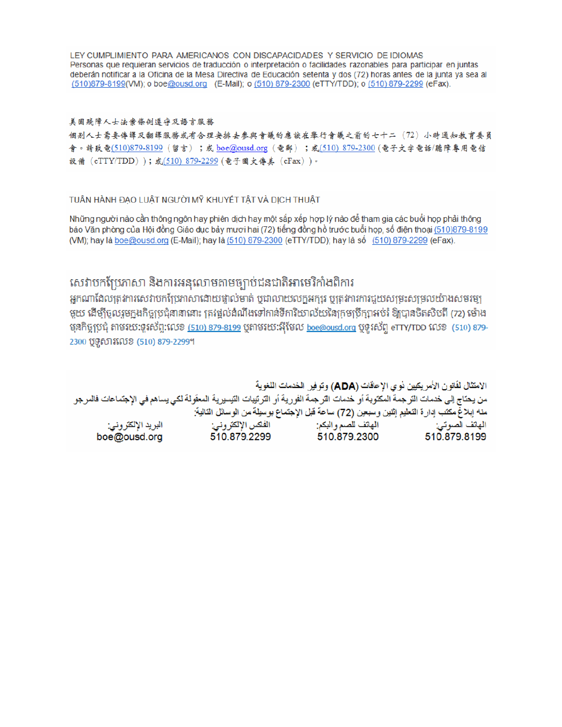LEY CUMPLIMIENTO PARA AMERICANOS CON DISCAPACIDADES Y SERVICIO DE IDIOMAS Personas que requieran servicios de traducción o interpretación o facilidades razonables para participar en juntas deberán notificar a la Oficina de la Mesa Directiva de Educación setenta y dos (72) horas antes de la junta ya sea al (510)879-8199(VM); o boe@ousd.org (E-Mail); o (510) 879-2300 (eTTY/TDD); o (510) 879-2299 (eFax).

#### 美国残障人士法案條例遵守及語言服務

個别人士需要傳譯及翻譯服務或有合理安排去參與會議的應該在舉行會議之前的七十二(72)小時通知教育委員 會。請致電(510)879-8199(留言);或 boe@ousd.org (電郵) ;或(510) 879-2300 (電子文字電話/聽障專用電信 設備 (eTTY/TDD));或(510) 879-2299 (電子圖文傳真 (eFax))。

#### TUẦN HÀNH ĐẠO LUẬT NGƯỜI MỸ KHUYẾT TẤT VÀ DỊCH THUẬT

Những người nào cần thông ngôn hay phiên dịch hay một sắp xếp hợp lý nào để tham gia các buổi họp phải thông báo Văn phòng của Hội đồng Giáo dục bảy mươi hai (72) tiếng đồng hồ trước buổi họp, số điện thoại (510)879-8199 (VM); hay là boe@ousd.org (E-Mail); hay là (510) 879-2300 (eTTY/TDD); hay là số (510) 879-2299 (eFax).

### សេវាបកប្រែភាសា និងការអនុលោមតាមច្បាប់ជនជាតិអាមេរិកាំងពិការ

អកណាដែលត្រូវការសេវាបកប្រែភាសាដោយផ្ទាល់មាត់ ឬជាលាយលក្ខអក្សរ ឬត្រូវការការជួយសម្រះសម្រលយ៉ាងសមរម្យ មួយ ដើម្បីចូលរួមក្នុងកិច្ចប្រជុំនានានោះ ត្រវង្គល់ដំណឹងទៅកាន់ទីការិយាល័យនៃក្រមប្រឹក្សាអប់រំ ឱ្យបានចិតសិបពី (72) ម៉ោង មុនកិច្ចប្រជុំ តាមរយៈទូរស័ព្ទ:លេខ <u>(510) 879-8199</u> បុតាមរយៈអ៊ីមែល <u>boe@ousd.org</u> បុទូរស័ព្ទ eTTY/TDD លេខ (510) 879-2300 ប៊ូទូសារលេខ (510) 879-2299។

الامتثال لقانون الأمريكيين نو ي الإعاقات (ADA) وتوفير الخدمات اللغوية من يحتاج إلى خدمات الترجمة المكتوبة أو خدمات الترجمة الفورية أو الترتيبات التيسيرية المعفّولة لكي يساهم في الإجتماعات فالمرجو منه إبلاغ مكتب إدارة التعليم إثنين وسبعين (72) ساعة قبل الإجتماع بوسيلة من الوسائل التالية: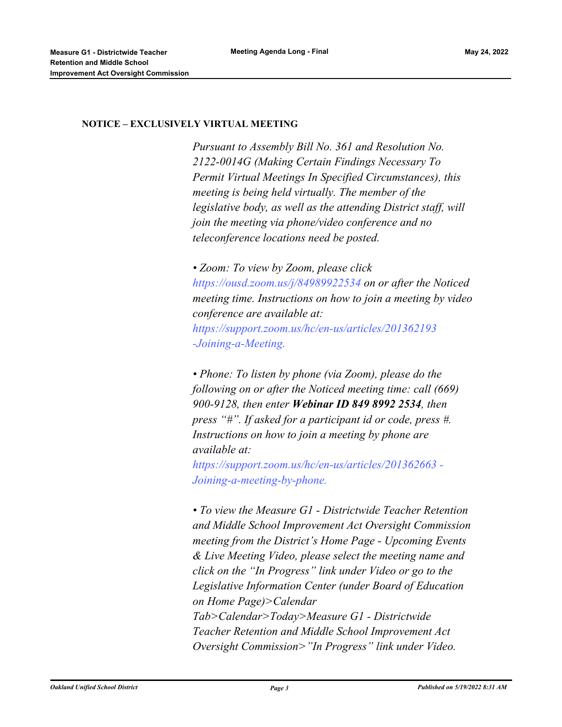#### **NOTICE – EXCLUSIVELY VIRTUAL MEETING**

*Pursuant to Assembly Bill No. 361 and Resolution No. 2122-0014G (Making Certain Findings Necessary To Permit Virtual Meetings In Specified Circumstances), this meeting is being held virtually. The member of the legislative body, as well as the attending District staff, will join the meeting via phone/video conference and no teleconference locations need be posted.* 

*• Zoom: To view by Zoom, please click https://ousd.zoom.us/j/84989922534 on or after the Noticed meeting time. Instructions on how to join a meeting by video conference are available at: https://support.zoom.us/hc/en-us/articles/201362193 -Joining-a-Meeting.*

*• Phone: To listen by phone (via Zoom), please do the following on or after the Noticed meeting time: call (669) 900-9128, then enter Webinar ID 849 8992 2534, then press "#". If asked for a participant id or code, press #. Instructions on how to join a meeting by phone are available at:*

*https://support.zoom.us/hc/en-us/articles/201362663 - Joining-a-meeting-by-phone.*

*• To view the Measure G1 - Districtwide Teacher Retention and Middle School Improvement Act Oversight Commission meeting from the District's Home Page - Upcoming Events & Live Meeting Video, please select the meeting name and click on the "In Progress" link under Video or go to the Legislative Information Center (under Board of Education on Home Page)>Calendar Tab>Calendar>Today>Measure G1 - Districtwide Teacher Retention and Middle School Improvement Act Oversight Commission>"In Progress" link under Video.*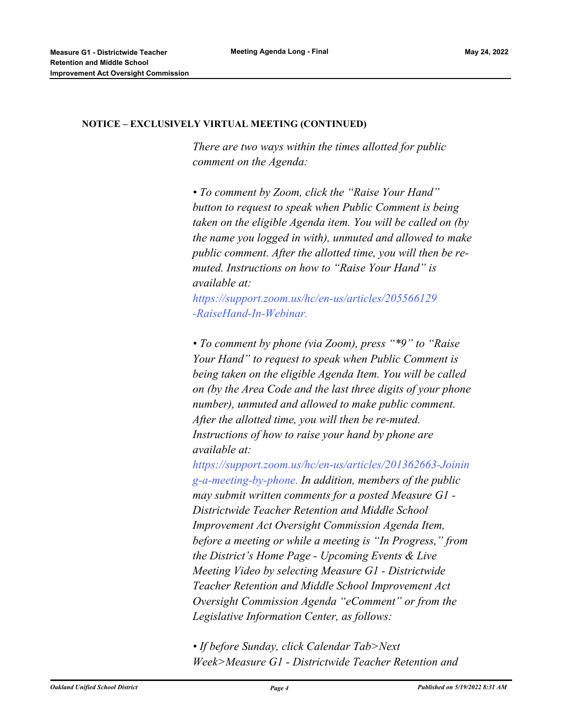#### **NOTICE – EXCLUSIVELY VIRTUAL MEETING (CONTINUED)**

*There are two ways within the times allotted for public comment on the Agenda:* 

*• To comment by Zoom, click the "Raise Your Hand" button to request to speak when Public Comment is being taken on the eligible Agenda item. You will be called on (by the name you logged in with), unmuted and allowed to make public comment. After the allotted time, you will then be remuted. Instructions on how to "Raise Your Hand" is available at:*

*https://support.zoom.us/hc/en-us/articles/205566129 -RaiseHand-In-Webinar.*

*• To comment by phone (via Zoom), press "\*9" to "Raise Your Hand" to request to speak when Public Comment is being taken on the eligible Agenda Item. You will be called on (by the Area Code and the last three digits of your phone number), unmuted and allowed to make public comment. After the allotted time, you will then be re-muted. Instructions of how to raise your hand by phone are available at:*

*https://support.zoom.us/hc/en-us/articles/201362663-Joinin g-a-meeting-by-phone. In addition, members of the public may submit written comments for a posted Measure G1 - Districtwide Teacher Retention and Middle School Improvement Act Oversight Commission Agenda Item, before a meeting or while a meeting is "In Progress," from the District's Home Page - Upcoming Events & Live Meeting Video by selecting Measure G1 - Districtwide Teacher Retention and Middle School Improvement Act Oversight Commission Agenda "eComment" or from the Legislative Information Center, as follows:*

*• If before Sunday, click Calendar Tab>Next Week>Measure G1 - Districtwide Teacher Retention and*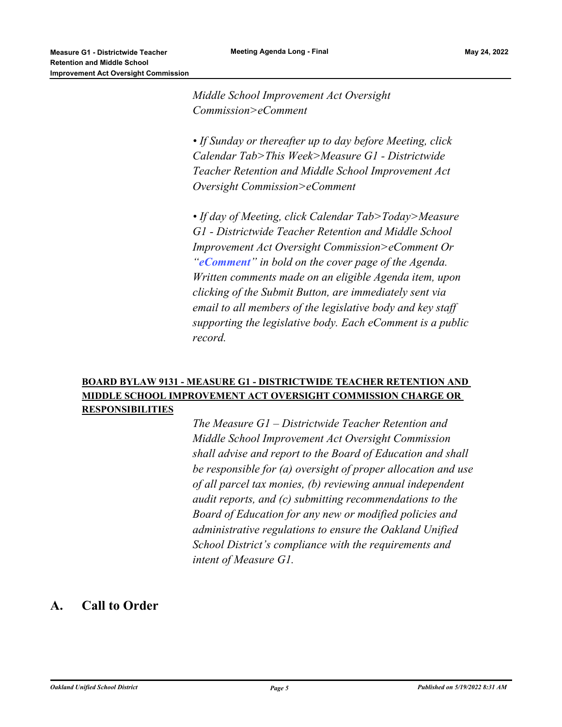*Middle School Improvement Act Oversight Commission>eComment* 

*• If Sunday or thereafter up to day before Meeting, click Calendar Tab>This Week>Measure G1 - Districtwide Teacher Retention and Middle School Improvement Act Oversight Commission>eComment*

*• If day of Meeting, click Calendar Tab>Today>Measure G1 - Districtwide Teacher Retention and Middle School Improvement Act Oversight Commission>eComment Or "eComment" in bold on the cover page of the Agenda. Written comments made on an eligible Agenda item, upon clicking of the Submit Button, are immediately sent via email to all members of the legislative body and key staff supporting the legislative body. Each eComment is a public record.*

#### **BOARD BYLAW 9131 - MEASURE G1 - DISTRICTWIDE TEACHER RETENTION AND MIDDLE SCHOOL IMPROVEMENT ACT OVERSIGHT COMMISSION CHARGE OR RESPONSIBILITIES**

*The Measure G1 – Districtwide Teacher Retention and Middle School Improvement Act Oversight Commission shall advise and report to the Board of Education and shall be responsible for (a) oversight of proper allocation and use of all parcel tax monies, (b) reviewing annual independent audit reports, and (c) submitting recommendations to the Board of Education for any new or modified policies and administrative regulations to ensure the Oakland Unified School District's compliance with the requirements and intent of Measure G1.*

#### **A. Call to Order**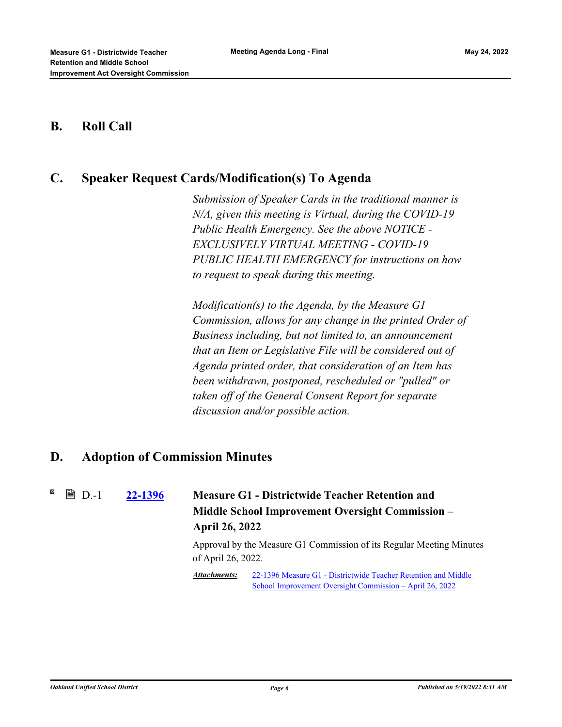#### **B. Roll Call**

### **C. Speaker Request Cards/Modification(s) To Agenda**

*Submission of Speaker Cards in the traditional manner is N/A, given this meeting is Virtual, during the COVID-19 Public Health Emergency. See the above NOTICE - EXCLUSIVELY VIRTUAL MEETING - COVID-19 PUBLIC HEALTH EMERGENCY for instructions on how to request to speak during this meeting.*

*Modification(s) to the Agenda, by the Measure G1 Commission, allows for any change in the printed Order of Business including, but not limited to, an announcement that an Item or Legislative File will be considered out of Agenda printed order, that consideration of an Item has been withdrawn, postponed, rescheduled or "pulled" or taken off of the General Consent Report for separate discussion and/or possible action.*

#### **D. Adoption of Commission Minutes**

**[22-1396](http://ousd.legistar.com/gateway.aspx?m=l&id=/matter.aspx?key=55690) Measure G1 - Districtwide Teacher Retention and Middle School Improvement Oversight Commission – April 26, 2022 ■ D.-1** 

> Approval by the Measure G1 Commission of its Regular Meeting Minutes of April 26, 2022.

[22-1396 Measure G1 - Districtwide Teacher Retention and Middle](https://ousd.legistar.com/View.ashx?M=M&ID=958338&GUID=CAAA85C1-16FF-4361-BF90-667DB1EE16FB) School Improvement Oversight Commission – April 26, 2022 *Attachments:*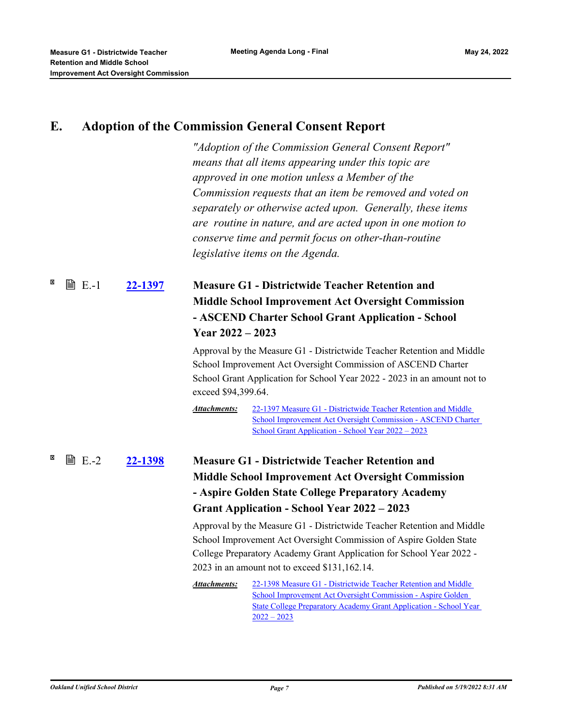# **E. Adoption of the Commission General Consent Report**

*"Adoption of the Commission General Consent Report" means that all items appearing under this topic are approved in one motion unless a Member of the Commission requests that an item be removed and voted on separately or otherwise acted upon. Generally, these items are routine in nature, and are acted upon in one motion to conserve time and permit focus on other-than-routine legislative items on the Agenda.*

#### **[22-1397](http://ousd.legistar.com/gateway.aspx?m=l&id=/matter.aspx?key=55691) Measure G1 - Districtwide Teacher Retention and Middle School Improvement Act Oversight Commission - ASCEND Charter School Grant Application - School Year 2022 – 2023 ■ E.-1**

Approval by the Measure G1 - Districtwide Teacher Retention and Middle School Improvement Act Oversight Commission of ASCEND Charter School Grant Application for School Year 2022 - 2023 in an amount not to exceed \$94,399.64.

22-1397 Measure G1 - Districtwide Teacher Retention and Middle [School Improvement Act Oversight Commission - ASCEND Charter](http://ousd.legistar.com/gateway.aspx?M=F&ID=104557.pdf)  School Grant Application - School Year 2022 – 2023 *Attachments:*

**[22-1398](http://ousd.legistar.com/gateway.aspx?m=l&id=/matter.aspx?key=55692) Measure G1 - Districtwide Teacher Retention and Middle School Improvement Act Oversight Commission - Aspire Golden State College Preparatory Academy Grant Application - School Year 2022 – 2023 ■ E.-2** 

> Approval by the Measure G1 - Districtwide Teacher Retention and Middle School Improvement Act Oversight Commission of Aspire Golden State College Preparatory Academy Grant Application for School Year 2022 - 2023 in an amount not to exceed \$131,162.14.

22-1398 Measure G1 - Districtwide Teacher Retention and Middle School Improvement Act Oversight Commission - Aspire Golden [State College Preparatory Academy Grant Application - School Year](http://ousd.legistar.com/gateway.aspx?M=F&ID=104558.pdf)   $2022 - 2023$ *Attachments:*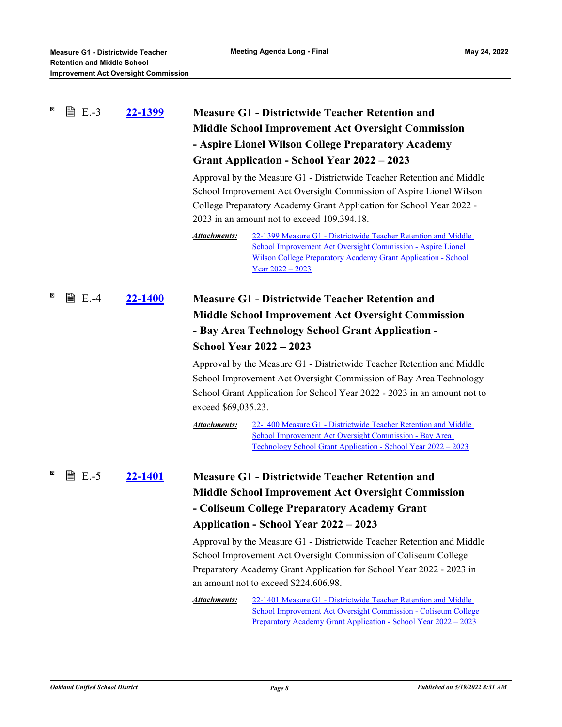| × | <b>■ E.-3</b> | <u>22-1399</u> | <b>Measure G1 - Districtwide Teacher Retention and</b><br><b>Middle School Improvement Act Oversight Commission</b><br>- Aspire Lionel Wilson College Preparatory Academy<br><b>Grant Application - School Year 2022 - 2023</b><br>Approval by the Measure G1 - Districtwide Teacher Retention and Middle<br>School Improvement Act Oversight Commission of Aspire Lionel Wilson<br>College Preparatory Academy Grant Application for School Year 2022 -<br>2023 in an amount not to exceed 109,394.18.<br><b>Attachments:</b><br>22-1399 Measure G1 - Districtwide Teacher Retention and Middle<br>School Improvement Act Oversight Commission - Aspire Lionel<br>Wilson College Preparatory Academy Grant Application - School<br>$Year 2022 - 2023$ |
|---|---------------|----------------|--------------------------------------------------------------------------------------------------------------------------------------------------------------------------------------------------------------------------------------------------------------------------------------------------------------------------------------------------------------------------------------------------------------------------------------------------------------------------------------------------------------------------------------------------------------------------------------------------------------------------------------------------------------------------------------------------------------------------------------------------------|
| × | <b>■ E.-4</b> | <u>22-1400</u> | <b>Measure G1 - Districtwide Teacher Retention and</b><br><b>Middle School Improvement Act Oversight Commission</b><br>- Bay Area Technology School Grant Application -<br><b>School Year 2022 - 2023</b><br>Approval by the Measure G1 - Districtwide Teacher Retention and Middle<br>School Improvement Act Oversight Commission of Bay Area Technology<br>School Grant Application for School Year 2022 - 2023 in an amount not to<br>exceed \$69,035.23.<br><b>Attachments:</b><br>22-1400 Measure G1 - Districtwide Teacher Retention and Middle<br>School Improvement Act Oversight Commission - Bay Area<br>Technology School Grant Application - School Year 2022 - 2023                                                                       |
| × | <b>■ E.-5</b> | <u>22-1401</u> | <b>Measure G1 - Districtwide Teacher Retention and</b><br><b>Middle School Improvement Act Oversight Commission</b><br>- Coliseum College Preparatory Academy Grant<br><b>Application - School Year 2022 – 2023</b><br>Approval by the Measure G1 - Districtwide Teacher Retention and Middle<br>School Improvement Act Oversight Commission of Coliseum College<br>Preparatory Academy Grant Application for School Year 2022 - 2023 in<br>an amount not to exceed \$224,606.98.<br><b>Attachments:</b><br>22-1401 Measure G1 - Districtwide Teacher Retention and Middle<br>School Improvement Act Oversight Commission - Coliseum College<br>Preparatory Academy Grant Application - School Year 2022 – 2023                                        |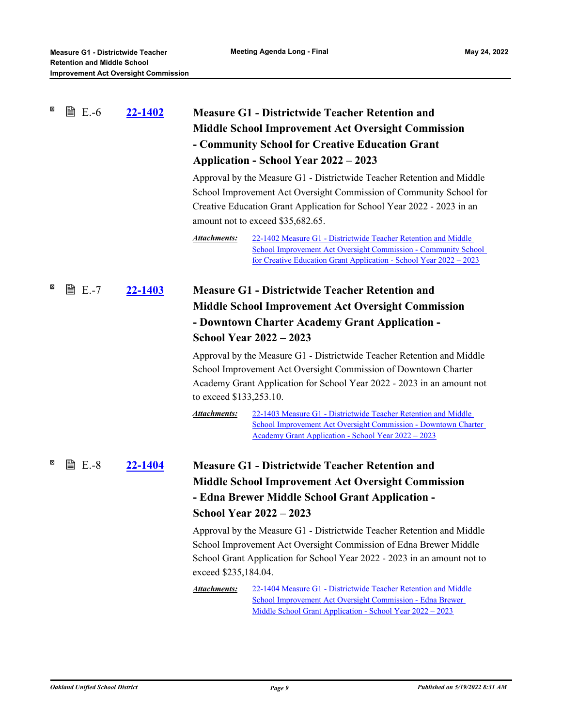| × | 窅<br>$E.-6$   | 22-1402        |                                                           | <b>Measure G1 - Districtwide Teacher Retention and</b>                                                                                                                                                                                                       |
|---|---------------|----------------|-----------------------------------------------------------|--------------------------------------------------------------------------------------------------------------------------------------------------------------------------------------------------------------------------------------------------------------|
|   |               |                | <b>Middle School Improvement Act Oversight Commission</b> |                                                                                                                                                                                                                                                              |
|   |               |                |                                                           | - Community School for Creative Education Grant                                                                                                                                                                                                              |
|   |               |                |                                                           | Application - School Year 2022 – 2023                                                                                                                                                                                                                        |
|   |               |                |                                                           | Approval by the Measure G1 - Districtwide Teacher Retention and Middle<br>School Improvement Act Oversight Commission of Community School for<br>Creative Education Grant Application for School Year 2022 - 2023 in an<br>amount not to exceed \$35,682.65. |
|   |               |                | <b>Attachments:</b>                                       | 22-1402 Measure G1 - Districtwide Teacher Retention and Middle<br>School Improvement Act Oversight Commission - Community School<br>for Creative Education Grant Application - School Year 2022 - 2023                                                       |
| × | t E.-7        | <u>22-1403</u> |                                                           | <b>Measure G1 - Districtwide Teacher Retention and</b>                                                                                                                                                                                                       |
|   |               |                |                                                           | <b>Middle School Improvement Act Oversight Commission</b>                                                                                                                                                                                                    |
|   |               |                |                                                           | - Downtown Charter Academy Grant Application -                                                                                                                                                                                                               |
|   |               |                |                                                           | <b>School Year 2022 - 2023</b>                                                                                                                                                                                                                               |
|   |               |                | to exceed \$133,253.10.                                   | Approval by the Measure G1 - Districtwide Teacher Retention and Middle<br>School Improvement Act Oversight Commission of Downtown Charter<br>Academy Grant Application for School Year 2022 - 2023 in an amount not                                          |
|   |               |                | <b>Attachments:</b>                                       | 22-1403 Measure G1 - Districtwide Teacher Retention and Middle<br>School Improvement Act Oversight Commission - Downtown Charter<br>Academy Grant Application - School Year 2022 - 2023                                                                      |
| × | <b>■ E.-8</b> | <u>22-1404</u> |                                                           | <b>Measure G1 - Districtwide Teacher Retention and</b>                                                                                                                                                                                                       |
|   |               |                |                                                           | <b>Middle School Improvement Act Oversight Commission</b>                                                                                                                                                                                                    |
|   |               |                |                                                           | - Edna Brewer Middle School Grant Application -                                                                                                                                                                                                              |
|   |               |                |                                                           | <b>School Year 2022 - 2023</b>                                                                                                                                                                                                                               |
|   |               |                | exceed \$235,184.04.                                      | Approval by the Measure G1 - Districtwide Teacher Retention and Middle<br>School Improvement Act Oversight Commission of Edna Brewer Middle<br>School Grant Application for School Year 2022 - 2023 in an amount not to                                      |
|   |               |                | <b>Attachments:</b>                                       | 22-1404 Measure G1 - Districtwide Teacher Retention and Middle<br>School Improvement Act Oversight Commission - Edna Brewer<br>Middle School Grant Application - School Year 2022 - 2023                                                                     |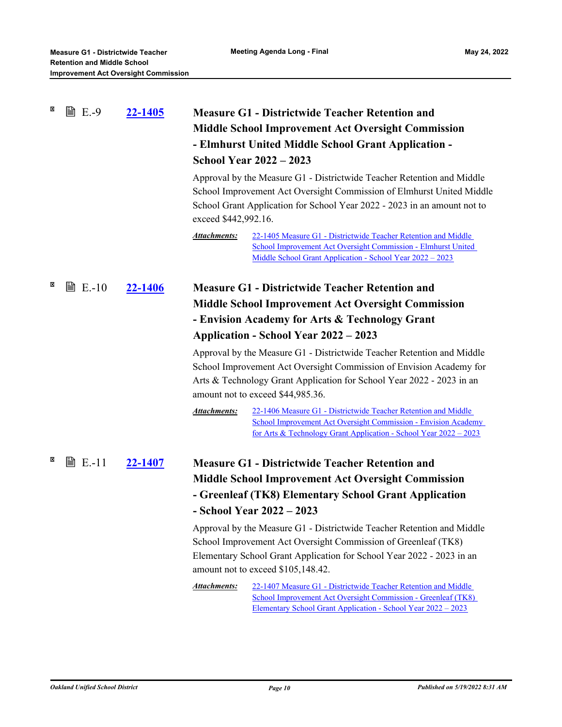| × | <b>■ E.-9</b>          | 22-1405        | exceed \$442,992.16.<br><b>Attachments:</b> | <b>Measure G1 - Districtwide Teacher Retention and</b><br><b>Middle School Improvement Act Oversight Commission</b><br>- Elmhurst United Middle School Grant Application -<br><b>School Year 2022 - 2023</b><br>Approval by the Measure G1 - Districtwide Teacher Retention and Middle<br>School Improvement Act Oversight Commission of Elmhurst United Middle<br>School Grant Application for School Year 2022 - 2023 in an amount not to<br>22-1405 Measure G1 - Districtwide Teacher Retention and Middle |
|---|------------------------|----------------|---------------------------------------------|---------------------------------------------------------------------------------------------------------------------------------------------------------------------------------------------------------------------------------------------------------------------------------------------------------------------------------------------------------------------------------------------------------------------------------------------------------------------------------------------------------------|
|   |                        |                |                                             | School Improvement Act Oversight Commission - Elmhurst United<br>Middle School Grant Application - School Year 2022 - 2023                                                                                                                                                                                                                                                                                                                                                                                    |
| × | $\triangleright$ E.-10 | 22-1406        |                                             | <b>Measure G1 - Districtwide Teacher Retention and</b>                                                                                                                                                                                                                                                                                                                                                                                                                                                        |
|   |                        |                |                                             | <b>Middle School Improvement Act Oversight Commission</b>                                                                                                                                                                                                                                                                                                                                                                                                                                                     |
|   |                        |                |                                             | - Envision Academy for Arts & Technology Grant                                                                                                                                                                                                                                                                                                                                                                                                                                                                |
|   |                        |                |                                             | Application - School Year 2022 – 2023                                                                                                                                                                                                                                                                                                                                                                                                                                                                         |
|   |                        |                |                                             | Approval by the Measure G1 - Districtwide Teacher Retention and Middle<br>School Improvement Act Oversight Commission of Envision Academy for<br>Arts & Technology Grant Application for School Year 2022 - 2023 in an<br>amount not to exceed \$44,985.36.                                                                                                                                                                                                                                                   |
|   |                        |                | <b>Attachments:</b>                         | 22-1406 Measure G1 - Districtwide Teacher Retention and Middle<br>School Improvement Act Oversight Commission - Envision Academy<br><u>for Arts &amp; Technology Grant Application - School Year 2022 – 2023</u>                                                                                                                                                                                                                                                                                              |
| ⊠ | <b>■ E.-11</b>         | <u>22-1407</u> |                                             | <b>Measure G1 - Districtwide Teacher Retention and</b>                                                                                                                                                                                                                                                                                                                                                                                                                                                        |
|   |                        |                |                                             | <b>Middle School Improvement Act Oversight Commission</b>                                                                                                                                                                                                                                                                                                                                                                                                                                                     |
|   |                        |                |                                             | - Greenleaf (TK8) Elementary School Grant Application                                                                                                                                                                                                                                                                                                                                                                                                                                                         |
|   |                        |                |                                             | - School Year 2022 – 2023                                                                                                                                                                                                                                                                                                                                                                                                                                                                                     |
|   |                        |                |                                             | Approval by the Measure G1 - Districtwide Teacher Retention and Middle<br>School Improvement Act Oversight Commission of Greenleaf (TK8)<br>Elementary School Grant Application for School Year 2022 - 2023 in an<br>amount not to exceed \$105,148.42.                                                                                                                                                                                                                                                       |
|   |                        |                | Attachments:                                | 22-1407 Measure G1 - Districtwide Teacher Retention and Middle<br>School Improvement Act Oversight Commission - Greenleaf (TK8)<br>Elementary School Grant Application - School Year 2022 - 2023                                                                                                                                                                                                                                                                                                              |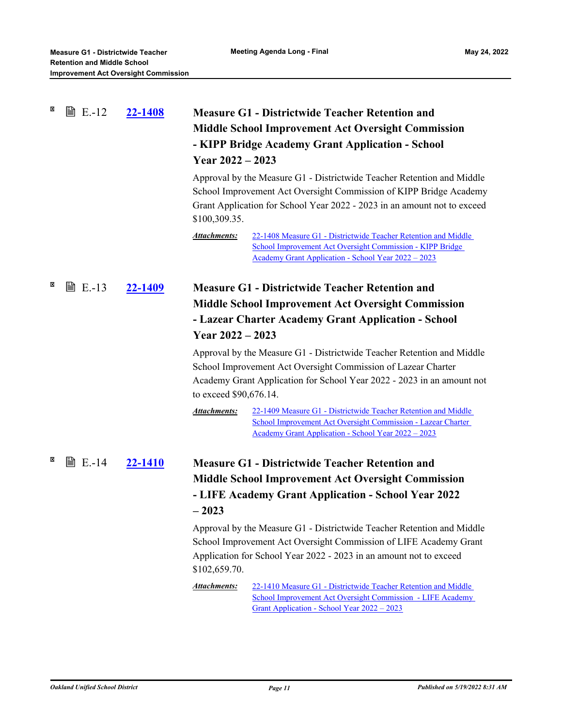| × | <b>■ E.-12</b> | 22-1408        | Year $2022 - 2023$<br>\$100,309.35.<br><b>Attachments:</b> | <b>Measure G1 - Districtwide Teacher Retention and</b><br><b>Middle School Improvement Act Oversight Commission</b><br>- KIPP Bridge Academy Grant Application - School<br>Approval by the Measure G1 - Districtwide Teacher Retention and Middle<br>School Improvement Act Oversight Commission of KIPP Bridge Academy<br>Grant Application for School Year 2022 - 2023 in an amount not to exceed |
|---|----------------|----------------|------------------------------------------------------------|-----------------------------------------------------------------------------------------------------------------------------------------------------------------------------------------------------------------------------------------------------------------------------------------------------------------------------------------------------------------------------------------------------|
|   |                |                |                                                            | 22-1408 Measure G1 - Districtwide Teacher Retention and Middle<br>School Improvement Act Oversight Commission - KIPP Bridge<br>Academy Grant Application - School Year 2022 - 2023                                                                                                                                                                                                                  |
| × | <b>■ E.-13</b> | 22-1409        |                                                            | <b>Measure G1 - Districtwide Teacher Retention and</b>                                                                                                                                                                                                                                                                                                                                              |
|   |                |                |                                                            | <b>Middle School Improvement Act Oversight Commission</b>                                                                                                                                                                                                                                                                                                                                           |
|   |                |                |                                                            | - Lazear Charter Academy Grant Application - School                                                                                                                                                                                                                                                                                                                                                 |
|   |                |                | Year $2022 - 2023$                                         |                                                                                                                                                                                                                                                                                                                                                                                                     |
|   |                |                | to exceed \$90,676.14.                                     | Approval by the Measure G1 - Districtwide Teacher Retention and Middle<br>School Improvement Act Oversight Commission of Lazear Charter<br>Academy Grant Application for School Year 2022 - 2023 in an amount not                                                                                                                                                                                   |
|   |                |                | <b>Attachments:</b>                                        | 22-1409 Measure G1 - Districtwide Teacher Retention and Middle<br>School Improvement Act Oversight Commission - Lazear Charter<br>Academy Grant Application - School Year 2022 - 2023                                                                                                                                                                                                               |
| × | <b>■ E.-14</b> | <u>22-1410</u> |                                                            | <b>Measure G1 - Districtwide Teacher Retention and</b>                                                                                                                                                                                                                                                                                                                                              |
|   |                |                |                                                            | <b>Middle School Improvement Act Oversight Commission</b>                                                                                                                                                                                                                                                                                                                                           |
|   |                |                | $-2023$                                                    | - LIFE Academy Grant Application - School Year 2022                                                                                                                                                                                                                                                                                                                                                 |
|   |                |                | \$102,659.70.                                              | Approval by the Measure G1 - Districtwide Teacher Retention and Middle<br>School Improvement Act Oversight Commission of LIFE Academy Grant<br>Application for School Year 2022 - 2023 in an amount not to exceed                                                                                                                                                                                   |
|   |                |                | <b>Attachments:</b>                                        | 22-1410 Measure G1 - Districtwide Teacher Retention and Middle<br>School Improvement Act Oversight Commission - LIFE Academy<br>Grant Application - School Year 2022 - 2023                                                                                                                                                                                                                         |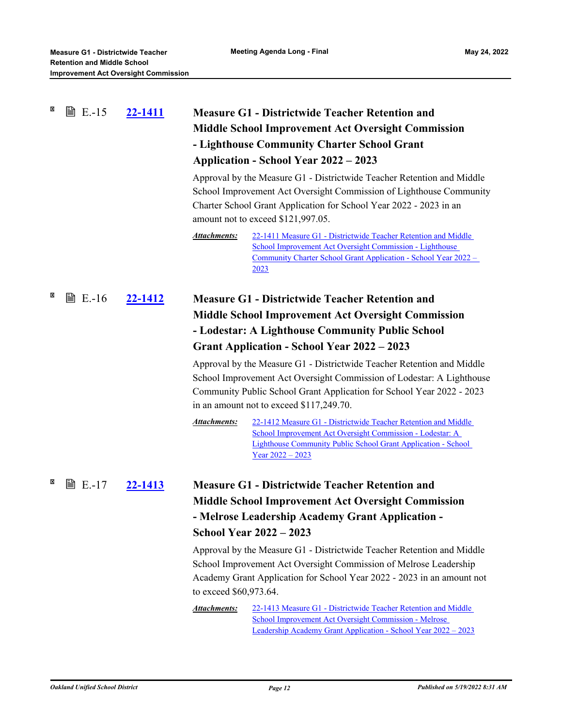| $\boldsymbol{\mathsf{x}}$<br><b>■ E.-15</b> | 22-1411        | <b>Measure G1 - Districtwide Teacher Retention and</b><br><b>Middle School Improvement Act Oversight Commission</b><br>- Lighthouse Community Charter School Grant<br>Application - School Year 2022 – 2023<br>Approval by the Measure G1 - Districtwide Teacher Retention and Middle<br>School Improvement Act Oversight Commission of Lighthouse Community<br>Charter School Grant Application for School Year 2022 - 2023 in an<br>amount not to exceed \$121,997.05.<br>22-1411 Measure G1 - Districtwide Teacher Retention and Middle<br>Attachments: |  |
|---------------------------------------------|----------------|------------------------------------------------------------------------------------------------------------------------------------------------------------------------------------------------------------------------------------------------------------------------------------------------------------------------------------------------------------------------------------------------------------------------------------------------------------------------------------------------------------------------------------------------------------|--|
|                                             |                | School Improvement Act Oversight Commission - Lighthouse<br><u> Community Charter School Grant Application - School Year 2022 -</u><br>2023                                                                                                                                                                                                                                                                                                                                                                                                                |  |
| ×<br><b>■ E.-16</b>                         | 22-1412        | <b>Measure G1 - Districtwide Teacher Retention and</b>                                                                                                                                                                                                                                                                                                                                                                                                                                                                                                     |  |
|                                             |                | <b>Middle School Improvement Act Oversight Commission</b>                                                                                                                                                                                                                                                                                                                                                                                                                                                                                                  |  |
|                                             |                | - Lodestar: A Lighthouse Community Public School                                                                                                                                                                                                                                                                                                                                                                                                                                                                                                           |  |
|                                             |                | <b>Grant Application - School Year 2022 - 2023</b>                                                                                                                                                                                                                                                                                                                                                                                                                                                                                                         |  |
|                                             |                | Approval by the Measure G1 - Districtwide Teacher Retention and Middle<br>School Improvement Act Oversight Commission of Lodestar: A Lighthouse<br>Community Public School Grant Application for School Year 2022 - 2023<br>in an amount not to exceed \$117,249.70.                                                                                                                                                                                                                                                                                       |  |
|                                             |                | <b>Attachments:</b><br>22-1412 Measure G1 - Districtwide Teacher Retention and Middle<br>School Improvement Act Oversight Commission - Lodestar: A<br><b>Lighthouse Community Public School Grant Application - School</b><br>$Year\,2022 - 2023$                                                                                                                                                                                                                                                                                                          |  |
| ×<br><b>■ E.-17</b>                         | <u>22-1413</u> | <b>Measure G1 - Districtwide Teacher Retention and</b>                                                                                                                                                                                                                                                                                                                                                                                                                                                                                                     |  |
|                                             |                | <b>Middle School Improvement Act Oversight Commission</b>                                                                                                                                                                                                                                                                                                                                                                                                                                                                                                  |  |
|                                             |                | - Melrose Leadership Academy Grant Application -                                                                                                                                                                                                                                                                                                                                                                                                                                                                                                           |  |
|                                             |                | <b>School Year 2022 - 2023</b>                                                                                                                                                                                                                                                                                                                                                                                                                                                                                                                             |  |
|                                             |                | Approval by the Measure G1 - Districtwide Teacher Retention and Middle<br>School Improvement Act Oversight Commission of Melrose Leadership<br>Academy Grant Application for School Year 2022 - 2023 in an amount not<br>to exceed \$60,973.64.                                                                                                                                                                                                                                                                                                            |  |
|                                             |                | <b>Attachments:</b><br>22-1413 Measure G1 - Districtwide Teacher Retention and Middle<br>School Improvement Act Oversight Commission - Melrose<br>Leadership Academy Grant Application - School Year 2022 - 2023                                                                                                                                                                                                                                                                                                                                           |  |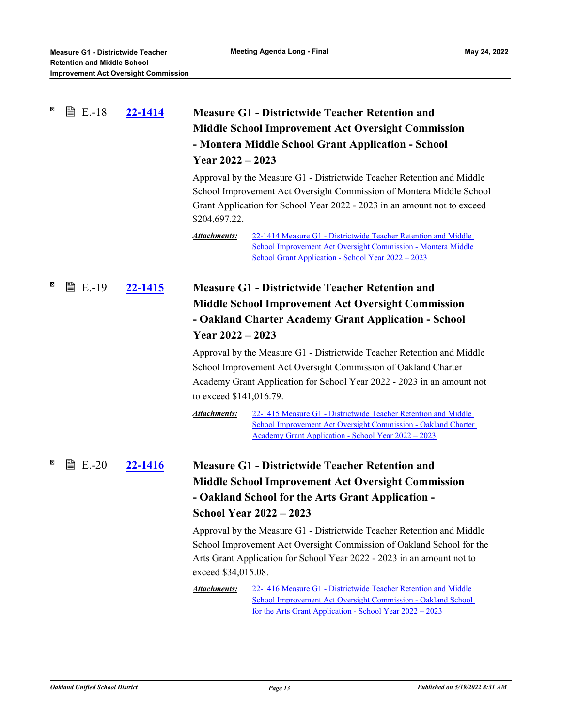| ×                         | <b>■ E.-18</b> | 22-1414 | <b>Measure G1 - Districtwide Teacher Retention and</b><br><b>Middle School Improvement Act Oversight Commission</b><br>- Montera Middle School Grant Application - School<br>Year $2022 - 2023$<br>Approval by the Measure G1 - Districtwide Teacher Retention and Middle<br>School Improvement Act Oversight Commission of Montera Middle School<br>Grant Application for School Year 2022 - 2023 in an amount not to exceed |                                                                                                                                                                                                                                                                                             |
|---------------------------|----------------|---------|-------------------------------------------------------------------------------------------------------------------------------------------------------------------------------------------------------------------------------------------------------------------------------------------------------------------------------------------------------------------------------------------------------------------------------|---------------------------------------------------------------------------------------------------------------------------------------------------------------------------------------------------------------------------------------------------------------------------------------------|
|                           |                |         | \$204,697.22.<br><b>Attachments:</b>                                                                                                                                                                                                                                                                                                                                                                                          | 22-1414 Measure G1 - Districtwide Teacher Retention and Middle<br>School Improvement Act Oversight Commission - Montera Middle<br>School Grant Application - School Year 2022 – 2023                                                                                                        |
| $\boldsymbol{\mathsf{x}}$ | <b>■ E.-19</b> | 22-1415 |                                                                                                                                                                                                                                                                                                                                                                                                                               | <b>Measure G1 - Districtwide Teacher Retention and</b><br><b>Middle School Improvement Act Oversight Commission</b><br>- Oakland Charter Academy Grant Application - School                                                                                                                 |
|                           |                |         | Year $2022 - 2023$                                                                                                                                                                                                                                                                                                                                                                                                            |                                                                                                                                                                                                                                                                                             |
|                           |                |         | to exceed \$141,016.79.                                                                                                                                                                                                                                                                                                                                                                                                       | Approval by the Measure G1 - Districtwide Teacher Retention and Middle<br>School Improvement Act Oversight Commission of Oakland Charter<br>Academy Grant Application for School Year 2022 - 2023 in an amount not                                                                          |
|                           |                |         | <b>Attachments:</b>                                                                                                                                                                                                                                                                                                                                                                                                           | 22-1415 Measure G1 - Districtwide Teacher Retention and Middle<br>School Improvement Act Oversight Commission - Oakland Charter<br>Academy Grant Application - School Year 2022 - 2023                                                                                                      |
| ×                         | <b>■ E.-20</b> | 22-1416 |                                                                                                                                                                                                                                                                                                                                                                                                                               | <b>Measure G1 - Districtwide Teacher Retention and</b>                                                                                                                                                                                                                                      |
|                           |                |         |                                                                                                                                                                                                                                                                                                                                                                                                                               | <b>Middle School Improvement Act Oversight Commission</b><br>- Oakland School for the Arts Grant Application -                                                                                                                                                                              |
|                           |                |         |                                                                                                                                                                                                                                                                                                                                                                                                                               | <b>School Year 2022 - 2023</b>                                                                                                                                                                                                                                                              |
|                           |                |         | exceed \$34,015.08.<br><b>Attachments:</b>                                                                                                                                                                                                                                                                                                                                                                                    | Approval by the Measure G1 - Districtwide Teacher Retention and Middle<br>School Improvement Act Oversight Commission of Oakland School for the<br>Arts Grant Application for School Year 2022 - 2023 in an amount not to<br>22-1416 Measure G1 - Districtwide Teacher Retention and Middle |
|                           |                |         |                                                                                                                                                                                                                                                                                                                                                                                                                               | School Improvement Act Oversight Commission - Oakland School<br>for the Arts Grant Application - School Year $2022 - 2023$                                                                                                                                                                  |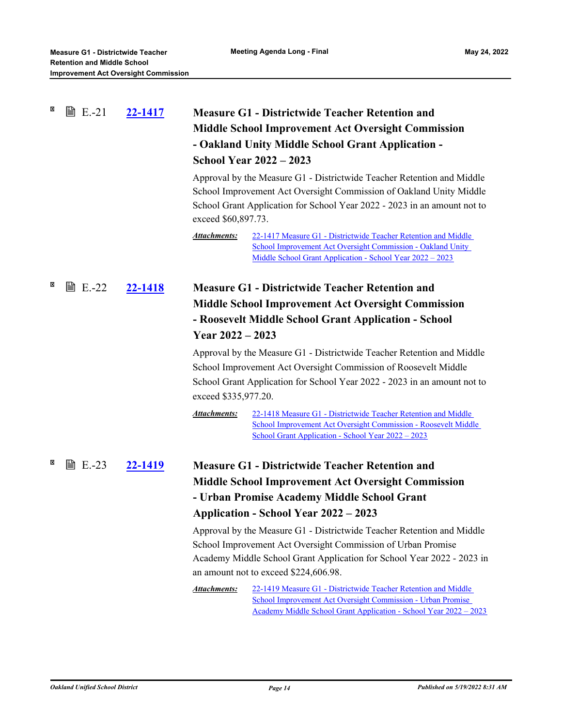| X | <b>■ E.-21</b> | 22-1417        | <b>Measure G1 - Districtwide Teacher Retention and</b><br><b>Middle School Improvement Act Oversight Commission</b><br>- Oakland Unity Middle School Grant Application -<br><b>School Year 2022 - 2023</b><br>Approval by the Measure G1 - Districtwide Teacher Retention and Middle<br>School Improvement Act Oversight Commission of Oakland Unity Middle<br>School Grant Application for School Year 2022 - 2023 in an amount not to<br>exceed \$60,897.73.<br>Attachments:<br>22-1417 Measure G1 - Districtwide Teacher Retention and Middle<br>School Improvement Act Oversight Commission - Oakland Unity<br>Middle School Grant Application - School Year 2022 - 2023                                 |
|---|----------------|----------------|--------------------------------------------------------------------------------------------------------------------------------------------------------------------------------------------------------------------------------------------------------------------------------------------------------------------------------------------------------------------------------------------------------------------------------------------------------------------------------------------------------------------------------------------------------------------------------------------------------------------------------------------------------------------------------------------------------------|
| × | <b>■ E.-22</b> | 22-1418        | <b>Measure G1 - Districtwide Teacher Retention and</b><br><b>Middle School Improvement Act Oversight Commission</b><br>- Roosevelt Middle School Grant Application - School<br>Year $2022 - 2023$<br>Approval by the Measure G1 - Districtwide Teacher Retention and Middle                                                                                                                                                                                                                                                                                                                                                                                                                                  |
|   |                |                | School Improvement Act Oversight Commission of Roosevelt Middle<br>School Grant Application for School Year 2022 - 2023 in an amount not to<br>exceed \$335,977.20.<br><b>Attachments:</b><br>22-1418 Measure G1 - Districtwide Teacher Retention and Middle<br>School Improvement Act Oversight Commission - Roosevelt Middle<br>School Grant Application - School Year 2022 - 2023                                                                                                                                                                                                                                                                                                                         |
| × | <b>■ E.-23</b> | <u>22-1419</u> | <b>Measure G1 - Districtwide Teacher Retention and</b><br><b>Middle School Improvement Act Oversight Commission</b><br>- Urban Promise Academy Middle School Grant<br><b>Application - School Year 2022 - 2023</b><br>Approval by the Measure G1 - Districtwide Teacher Retention and Middle<br>School Improvement Act Oversight Commission of Urban Promise<br>Academy Middle School Grant Application for School Year 2022 - 2023 in<br>an amount not to exceed \$224,606.98.<br><b>Attachments:</b><br>22-1419 Measure G1 - Districtwide Teacher Retention and Middle<br>School Improvement Act Oversight Commission - Urban Promise<br>Academy Middle School Grant Application - School Year 2022 - 2023 |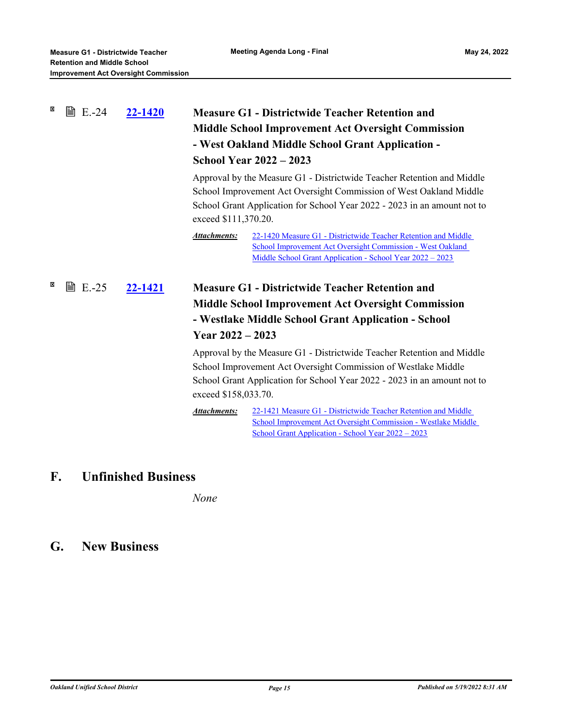| × | <b>■ E.-24</b> | 22-1420 | <b>Measure G1 - Districtwide Teacher Retention and</b><br><b>Middle School Improvement Act Oversight Commission</b><br>- West Oakland Middle School Grant Application -<br><b>School Year 2022 - 2023</b> |                                                                                                                                                                                                                          |
|---|----------------|---------|-----------------------------------------------------------------------------------------------------------------------------------------------------------------------------------------------------------|--------------------------------------------------------------------------------------------------------------------------------------------------------------------------------------------------------------------------|
|   |                |         | exceed \$111,370.20.                                                                                                                                                                                      | Approval by the Measure G1 - Districtwide Teacher Retention and Middle<br>School Improvement Act Oversight Commission of West Oakland Middle<br>School Grant Application for School Year 2022 - 2023 in an amount not to |
|   |                |         | Attachments:                                                                                                                                                                                              | 22-1420 Measure G1 - Districtwide Teacher Retention and Middle<br>School Improvement Act Oversight Commission - West Oakland<br>Middle School Grant Application - School Year 2022 - 2023                                |
| × | <b>■ E.-25</b> | 22-1421 | <b>Measure G1 - Districtwide Teacher Retention and</b><br><b>Middle School Improvement Act Oversight Commission</b><br>- Westlake Middle School Grant Application - School<br>Year $2022 - 2023$          |                                                                                                                                                                                                                          |
|   |                |         | exceed \$158,033.70.                                                                                                                                                                                      | Approval by the Measure G1 - Districtwide Teacher Retention and Middle<br>School Improvement Act Oversight Commission of Westlake Middle<br>School Grant Application for School Year 2022 - 2023 in an amount not to     |
|   |                |         | <b>Attachments:</b>                                                                                                                                                                                       | 22-1421 Measure G1 - Districtwide Teacher Retention and Middle<br>School Improvement Act Oversight Commission - Westlake Middle<br><u> School Grant Application - School Year 2022 – 2023</u>                            |

# **F. Unfinished Business**

*None*

# **G. New Business**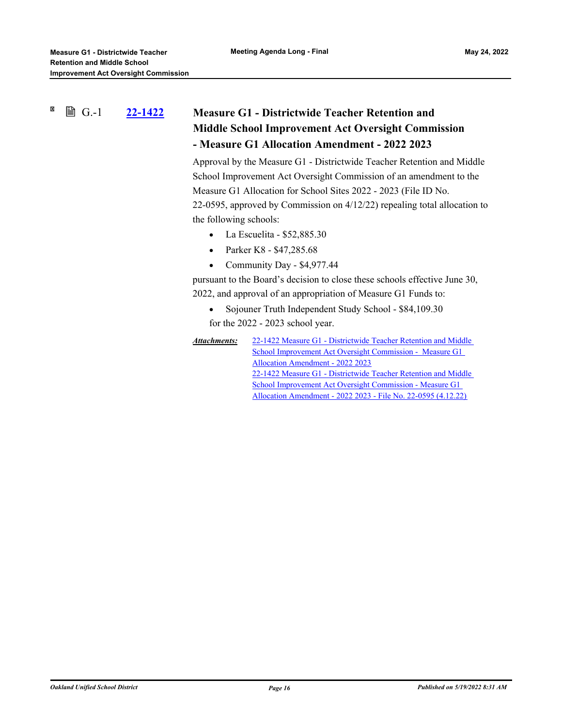#### X **A** G.-1 **[22-1422](http://ousd.legistar.com/gateway.aspx?m=l&id=/matter.aspx?key=55716) Measure G1 - Districtwide Teacher Retention and Middle School Improvement Act Oversight Commission - Measure G1 Allocation Amendment - 2022 2023**

Approval by the Measure G1 - Districtwide Teacher Retention and Middle School Improvement Act Oversight Commission of an amendment to the Measure G1 Allocation for School Sites 2022 - 2023 (File ID No. 22-0595, approved by Commission on 4/12/22) repealing total allocation to the following schools:

- La Escuelita  $$52,885.30$
- Parker K8 \$47,285.68
- Community Day \$4,977.44

pursuant to the Board's decision to close these schools effective June 30, 2022, and approval of an appropriation of Measure G1 Funds to:

- Sojouner Truth Independent Study School \$84,109.30 for the 2022 - 2023 school year.
- [22-1422 Measure G1 Districtwide Teacher Retention and Middle](http://ousd.legistar.com/gateway.aspx?M=F&ID=104583.pdf) School Improvement Act Oversight Commission - Measure G1 Allocation Amendment - 2022 2023 [22-1422 Measure G1 - Districtwide Teacher Retention and Middle](https://ousd.legistar.com/LegislationDetail.aspx?ID=5539967&GUID=6AE0C85E-47DF-4A59-8623-FA01F964186A&Options=ID|Text|&Search=22-0595) School Improvement Act Oversight Commission - Measure G1 Allocation Amendment - 2022 2023 - File No. 22-0595 (4.12.22) *Attachments:*